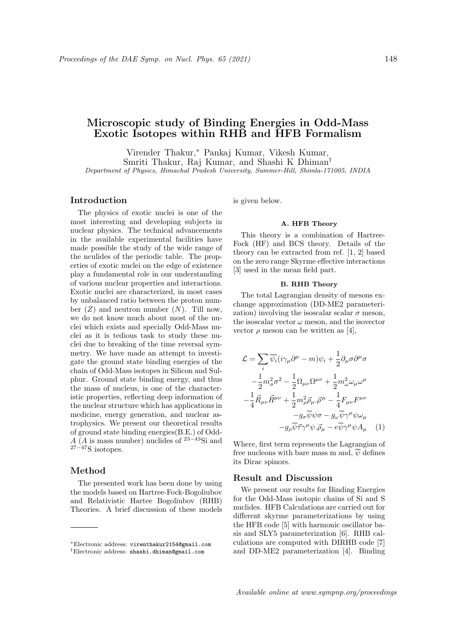# Microscopic study of Binding Energies in Odd-Mass Exotic Isotopes within RHB and HFB Formalism

Virender Thakur,<sup>∗</sup> Pankaj Kumar, Vikesh Kumar, Smriti Thakur, Raj Kumar, and Shashi K Dhiman† Department of Physics, Himachal Pradesh University, Summer-Hill, Shimla-171005, INDIA

# Introduction

The physics of exotic nuclei is one of the most interesting and developing subjects in nuclear physics. The technical advancements in the available experimental facilities have made possible the study of the wide range of the nculides of the periodic table. The properties of exotic nuclei on the edge of existence play a fundamental role in our understanding of various nuclear properties and interactions. Exotic nuclei are characterized, in most cases by unbalanced ratio between the proton number  $(Z)$  and neutron number  $(N)$ . Till now, we do not know much about most of the nuclei which exists and specially Odd-Mass nuclei as it is tedious task to study these nuclei due to breaking of the time reversal symmetry. We have made an attempt to investigate the ground state binding energies of the chain of Odd-Mass isotopes in Silicon and Sulphur. Ground state binding energy, and thus the mass of nucleus, is one of the characteristic properties, reflecting deep information of the nuclear structure which has applications in medicine, energy generation, and nuclear astrophysics. We present our theoretical results of ground state binding energies(B.E.) of Odd-A (A is mass number) nuclides of  $23-43$ Si and  $27-47S$  isotopes.

# Method

The presented work has been done by using the models based on Hartree-Fock-Bogoliubov and Relativistic Hartee Bogoliubov (RHB) Theories. A brief discussion of these models is given below.

#### A. HFB Theory

This theory is a combination of Hartree-Fock (HF) and BCS theory. Details of the theory can be extracted from ref. [1, 2] based on the zero range Skyrme effective interactions [3] used in the mean field part.

#### B. RHB Theory

The total Lagrangian density of mesons exchange approximation (DD-ME2 parameterization) involving the isoscalar scalar  $\sigma$  meson, the isoscalar vector  $\omega$  meson, and the isovector vector  $\rho$  meson can be written as [4],

$$
\mathcal{L} = \sum_{i} \overline{\psi_i} (i\gamma_\mu \partial^\mu - m) \psi_i + \frac{1}{2} \partial_\mu \sigma \partial^\mu \sigma
$$

$$
- \frac{1}{2} m_\sigma^2 \sigma^2 - \frac{1}{2} \Omega_{\mu\nu} \Omega^{\mu\nu} + \frac{1}{2} m_\omega^2 \omega_\mu \omega^\mu
$$

$$
- \frac{1}{4} \vec{R}_{\mu\nu} \vec{R}^{\mu\nu} + \frac{1}{2} m_\rho^2 \vec{\rho}_\mu \cdot \vec{\rho}^\mu - \frac{1}{4} F_{\mu\nu} F^{\mu\nu}
$$

$$
- g_\sigma \overline{\psi} \psi \sigma - g_\omega \overline{\psi} \gamma^\mu \psi \omega_\mu
$$

$$
- g_\rho \overline{\psi} \vec{\tau} \gamma^\mu \psi \cdot \vec{\rho}_\mu - e \overline{\psi} \gamma^\mu \psi A_\mu \quad (1)
$$

Where, first term represents the Lagrangian of free nucleons with bare mass m and,  $\overline{\psi}$  defines its Dirac spinors.

### Result and Discussion

We present our results for Binding Energies for the Odd-Mass isotopic chains of Si and S nuclides. HFB Calculations are carried out for different skyrme parameterizations by using the HFB code [5] with harmonic oscillator basis and SLY5 parameterization [6]. RHB calculations are computed with DIRHB code [7] and DD-ME2 parameterization [4]. Binding

<sup>∗</sup>Electronic address: virenthakur2154@gmail.com †Electronic address: shashi.dhiman@gmail.com